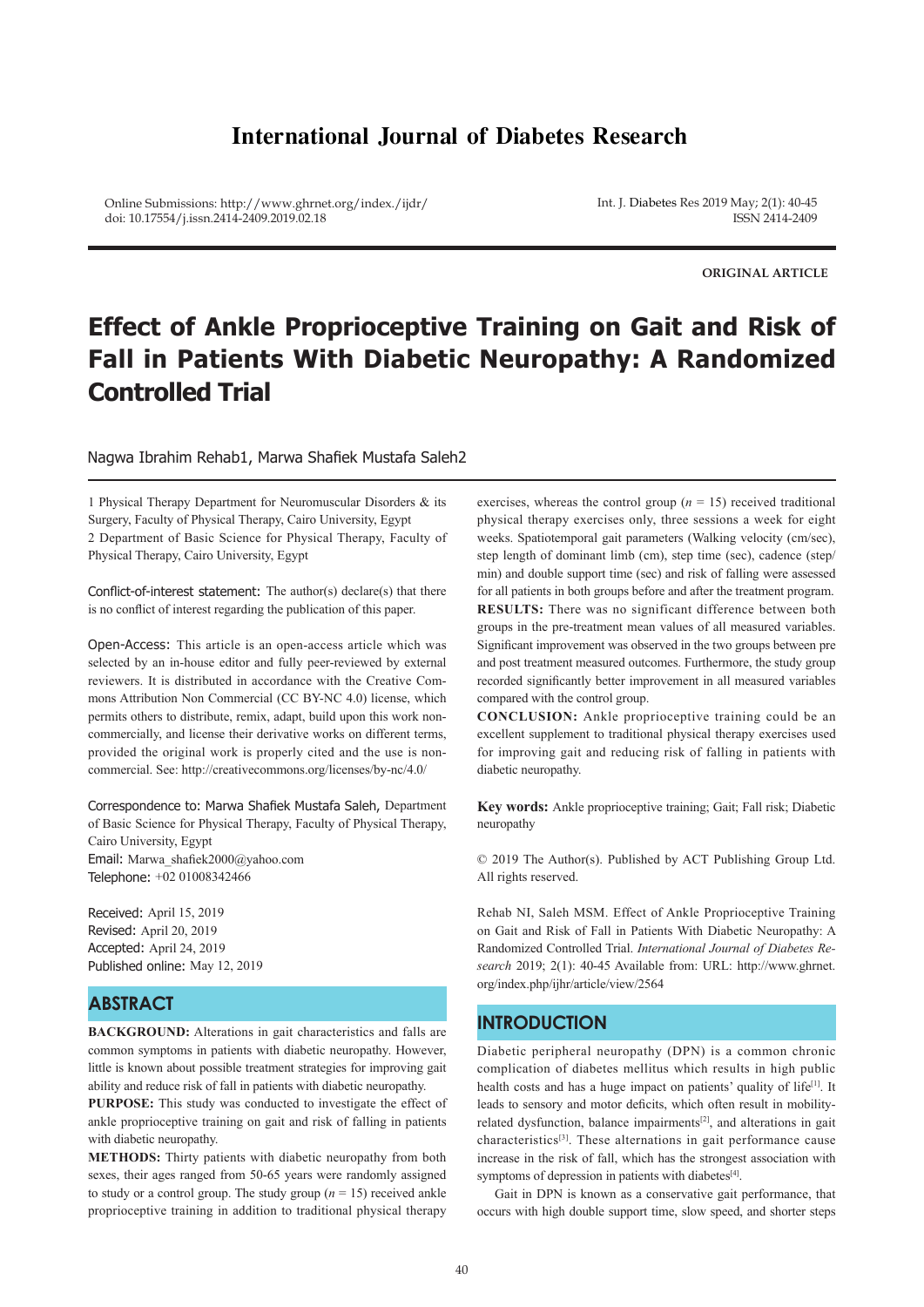# **International Journal of Diabetes Research**

Online Submissions: http://www.ghrnet.org/index./ijdr/ doi: 10.17554/j.issn.2414-2409.2019.02.18

Int. J. Diabetes Res 2019 May; 2(1): 40-45 ISSN 2414-2409

**ORIGINAL ARTICLE**

# **Effect of Ankle Proprioceptive Training on Gait and Risk of Fall in Patients With Diabetic Neuropathy: A Randomized Controlled Trial**

Nagwa Ibrahim Rehab1, Marwa Shafiek Mustafa Saleh2

1 Physical Therapy Department for Neuromuscular Disorders & its Surgery, Faculty of Physical Therapy, Cairo University, Egypt 2 Department of Basic Science for Physical Therapy, Faculty of Physical Therapy, Cairo University, Egypt

Conflict-of-interest statement: The author(s) declare(s) that there is no conflict of interest regarding the publication of this paper.

Open-Access: This article is an open-access article which was selected by an in-house editor and fully peer-reviewed by external reviewers. It is distributed in accordance with the Creative Commons Attribution Non Commercial (CC BY-NC 4.0) license, which permits others to distribute, remix, adapt, build upon this work noncommercially, and license their derivative works on different terms, provided the original work is properly cited and the use is noncommercial. See: http://creativecommons.org/licenses/by-nc/4.0/

Correspondence to: Marwa Shafiek Mustafa Saleh, Department of Basic Science for Physical Therapy, Faculty of Physical Therapy, Cairo University, Egypt Email: Marwa\_shafiek2000@yahoo.com Telephone: +02 01008342466

Received: April 15, 2019 Revised: April 20, 2019 Accepted: April 24, 2019 Published online: May 12, 2019

# **ABSTRACT**

**BACKGROUND:** Alterations in gait characteristics and falls are common symptoms in patients with diabetic neuropathy. However, little is known about possible treatment strategies for improving gait ability and reduce risk of fall in patients with diabetic neuropathy.

**PURPOSE:** This study was conducted to investigate the effect of ankle proprioceptive training on gait and risk of falling in patients with diabetic neuropathy.

**METHODS:** Thirty patients with diabetic neuropathy from both sexes, their ages ranged from 50-65 years were randomly assigned to study or a control group. The study group  $(n = 15)$  received ankle proprioceptive training in addition to traditional physical therapy

exercises, whereas the control group  $(n = 15)$  received traditional physical therapy exercises only, three sessions a week for eight weeks. Spatiotemporal gait parameters (Walking velocity (cm/sec), step length of dominant limb (cm), step time (sec), cadence (step/ min) and double support time (sec) and risk of falling were assessed for all patients in both groups before and after the treatment program. **RESULTS:** There was no significant difference between both groups in the pre-treatment mean values of all measured variables. Significant improvement was observed in the two groups between pre and post treatment measured outcomes. Furthermore, the study group recorded significantly better improvement in all measured variables compared with the control group.

**CONCLUSION:** Ankle proprioceptive training could be an excellent supplement to traditional physical therapy exercises used for improving gait and reducing risk of falling in patients with diabetic neuropathy.

**Key words:** Ankle proprioceptive training; Gait; Fall risk; Diabetic neuropathy

© 2019 The Author(s). Published by ACT Publishing Group Ltd. All rights reserved.

Rehab NI, Saleh MSM. Effect of Ankle Proprioceptive Training on Gait and Risk of Fall in Patients With Diabetic Neuropathy: A Randomized Controlled Trial. *International Journal of Diabetes Research* 2019; 2(1): 40-45 Available from: URL: http://www.ghrnet. org/index.php/ijhr/article/view/2564

### **INTRODUCTION**

Diabetic peripheral neuropathy (DPN) is a common chronic complication of diabetes mellitus which results in high public health costs and has a huge impact on patients' quality of life<sup>[1]</sup>. It leads to sensory and motor deficits, which often result in mobilityrelated dysfunction, balance impairments<sup>[2]</sup>, and alterations in gait characteristics[3]. These alternations in gait performance cause increase in the risk of fall, which has the strongest association with symptoms of depression in patients with diabetes<sup>[4]</sup>.

 Gait in DPN is known as a conservative gait performance, that occurs with high double support time, slow speed, and shorter steps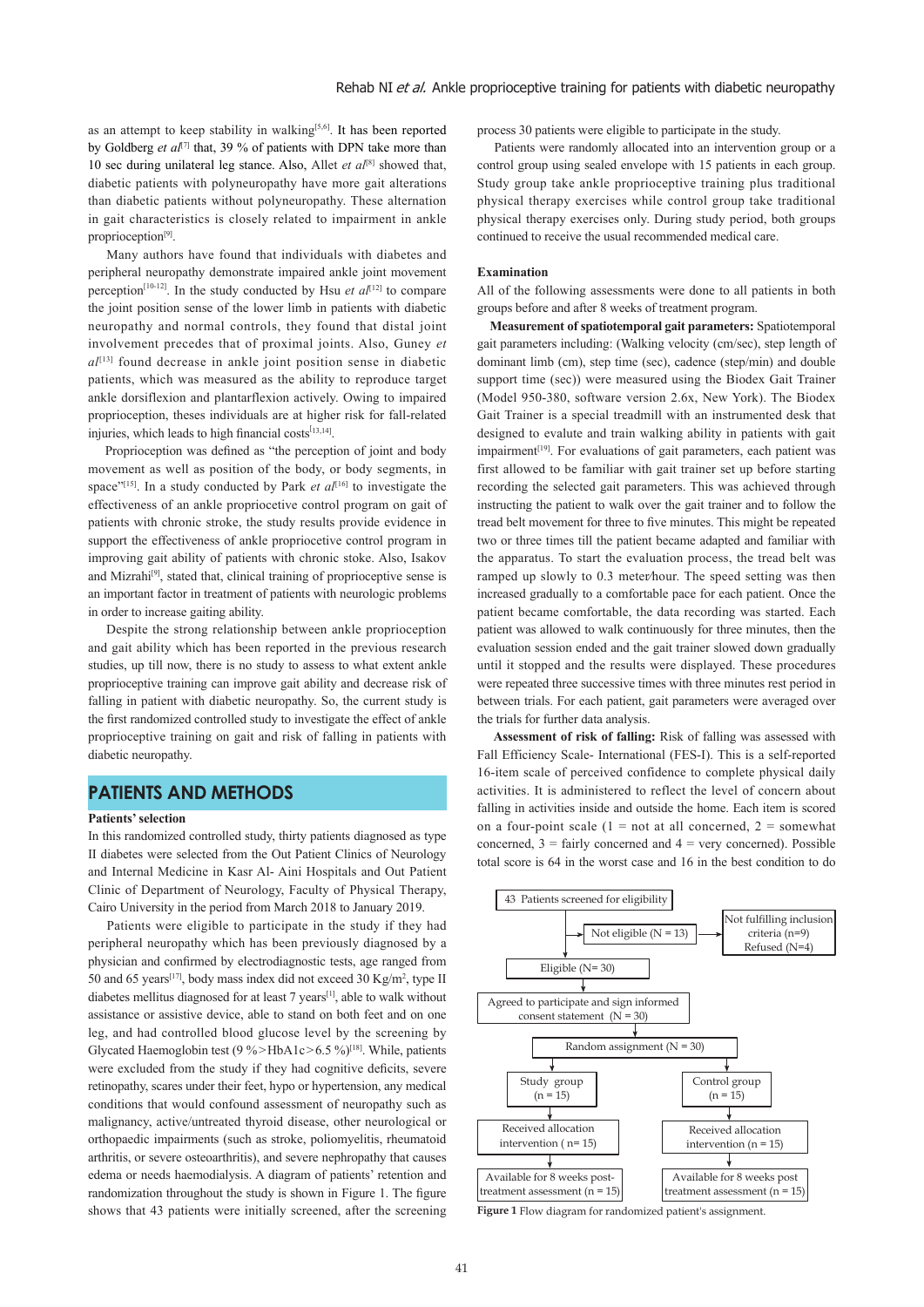as an attempt to keep stability in walking<sup>[5,6]</sup>. It has been reported by Goldberg *et al*[7] that, 39 % of patients with DPN take more than 10 sec during unilateral leg stance. Also, Allet *et al*[8] showed that, diabetic patients with polyneuropathy have more gait alterations than diabetic patients without polyneuropathy. These alternation in gait characteristics is closely related to impairment in ankle proprioception<sup>[9]</sup>.

 Many authors have found that individuals with diabetes and peripheral neuropathy demonstrate impaired ankle joint movement perception<sup>[10-12]</sup>. In the study conducted by Hsu *et al*<sup>[12]</sup> to compare the joint position sense of the lower limb in patients with diabetic neuropathy and normal controls, they found that distal joint involvement precedes that of proximal joints. Also, Guney *et al*[13] found decrease in ankle joint position sense in diabetic patients, which was measured as the ability to reproduce target ankle dorsiflexion and plantarflexion actively. Owing to impaired proprioception, theses individuals are at higher risk for fall-related injuries, which leads to high financial costs<sup>[13,14]</sup>.

 Proprioception was defined as "the perception of joint and body movement as well as position of the body, or body segments, in space<sup>"[15]</sup>. In a study conducted by Park *et al*<sup>[16]</sup> to investigate the effectiveness of an ankle propriocetive control program on gait of patients with chronic stroke, the study results provide evidence in support the effectiveness of ankle propriocetive control program in improving gait ability of patients with chronic stoke. Also, Isakov and Mizrahi<sup>[9]</sup>, stated that, clinical training of proprioceptive sense is an important factor in treatment of patients with neurologic problems in order to increase gaiting ability.

 Despite the strong relationship between ankle proprioception and gait ability which has been reported in the previous research studies, up till now, there is no study to assess to what extent ankle proprioceptive training can improve gait ability and decrease risk of falling in patient with diabetic neuropathy. So, the current study is the first randomized controlled study to investigate the effect of ankle proprioceptive training on gait and risk of falling in patients with diabetic neuropathy.

### **PATIENTS AND METHODS**

#### **Patients' selection**

In this randomized controlled study, thirty patients diagnosed as type II diabetes were selected from the Out Patient Clinics of Neurology and Internal Medicine in Kasr Al- Aini Hospitals and Out Patient Clinic of Department of Neurology, Faculty of Physical Therapy, Cairo University in the period from March 2018 to January 2019.

 Patients were eligible to participate in the study if they had peripheral neuropathy which has been previously diagnosed by a physician and confirmed by electrodiagnostic tests, age ranged from 50 and 65 years<sup>[17]</sup>, body mass index did not exceed 30 Kg/m<sup>2</sup>, type II diabetes mellitus diagnosed for at least 7 years[1], able to walk without assistance or assistive device, able to stand on both feet and on one leg, and had controlled blood glucose level by the screening by Glycated Haemoglobin test (9 % > HbA1c > 6.5 %)<sup>[18]</sup>. While, patients were excluded from the study if they had cognitive deficits, severe retinopathy, scares under their feet, hypo or hypertension, any medical conditions that would confound assessment of neuropathy such as malignancy, active/untreated thyroid disease, other neurological or orthopaedic impairments (such as stroke, poliomyelitis, rheumatoid arthritis, or severe osteoarthritis), and severe nephropathy that causes edema or needs haemodialysis. A diagram of patients' retention and randomization throughout the study is shown in Figure 1. The figure shows that 43 patients were initially screened, after the screening

process 30 patients were eligible to participate in the study.

 Patients were randomly allocated into an intervention group or a control group using sealed envelope with 15 patients in each group. Study group take ankle proprioceptive training plus traditional physical therapy exercises while control group take traditional physical therapy exercises only. During study period, both groups continued to receive the usual recommended medical care.

#### **Examination**

All of the following assessments were done to all patients in both groups before and after 8 weeks of treatment program.

 **Measurement of spatiotemporal gait parameters:** Spatiotemporal gait parameters including: (Walking velocity (cm/sec), step length of dominant limb (cm), step time (sec), cadence (step/min) and double support time (sec)) were measured using the Biodex Gait Trainer (Model 950-380, software version 2.6x, New York). The Biodex Gait Trainer is a special treadmill with an instrumented desk that designed to evalute and train walking ability in patients with gait impairment<sup>[19]</sup>. For evaluations of gait parameters, each patient was first allowed to be familiar with gait trainer set up before starting recording the selected gait parameters. This was achieved through instructing the patient to walk over the gait trainer and to follow the tread belt movement for three to five minutes. This might be repeated two or three times till the patient became adapted and familiar with the apparatus. To start the evaluation process, the tread belt was ramped up slowly to 0.3 meter∕hour. The speed setting was then increased gradually to a comfortable pace for each patient. Once the patient became comfortable, the data recording was started. Each patient was allowed to walk continuously for three minutes, then the evaluation session ended and the gait trainer slowed down gradually until it stopped and the results were displayed. These procedures were repeated three successive times with three minutes rest period in between trials. For each patient, gait parameters were averaged over the trials for further data analysis.

 **Assessment of risk of falling:** Risk of falling was assessed with Fall Efficiency Scale- International (FES-I). This is a self-reported 16-item scale of perceived confidence to complete physical daily activities. It is administered to reflect the level of concern about falling in activities inside and outside the home. Each item is scored on a four-point scale  $(1 = not at all concerned, 2 = somewhat)$ concerned,  $3 = \text{fairly concerned}$  and  $4 = \text{very concerned}$ . Possible total score is 64 in the worst case and 16 in the best condition to do



**Figure 1** Flow diagram for randomized patient's assignment.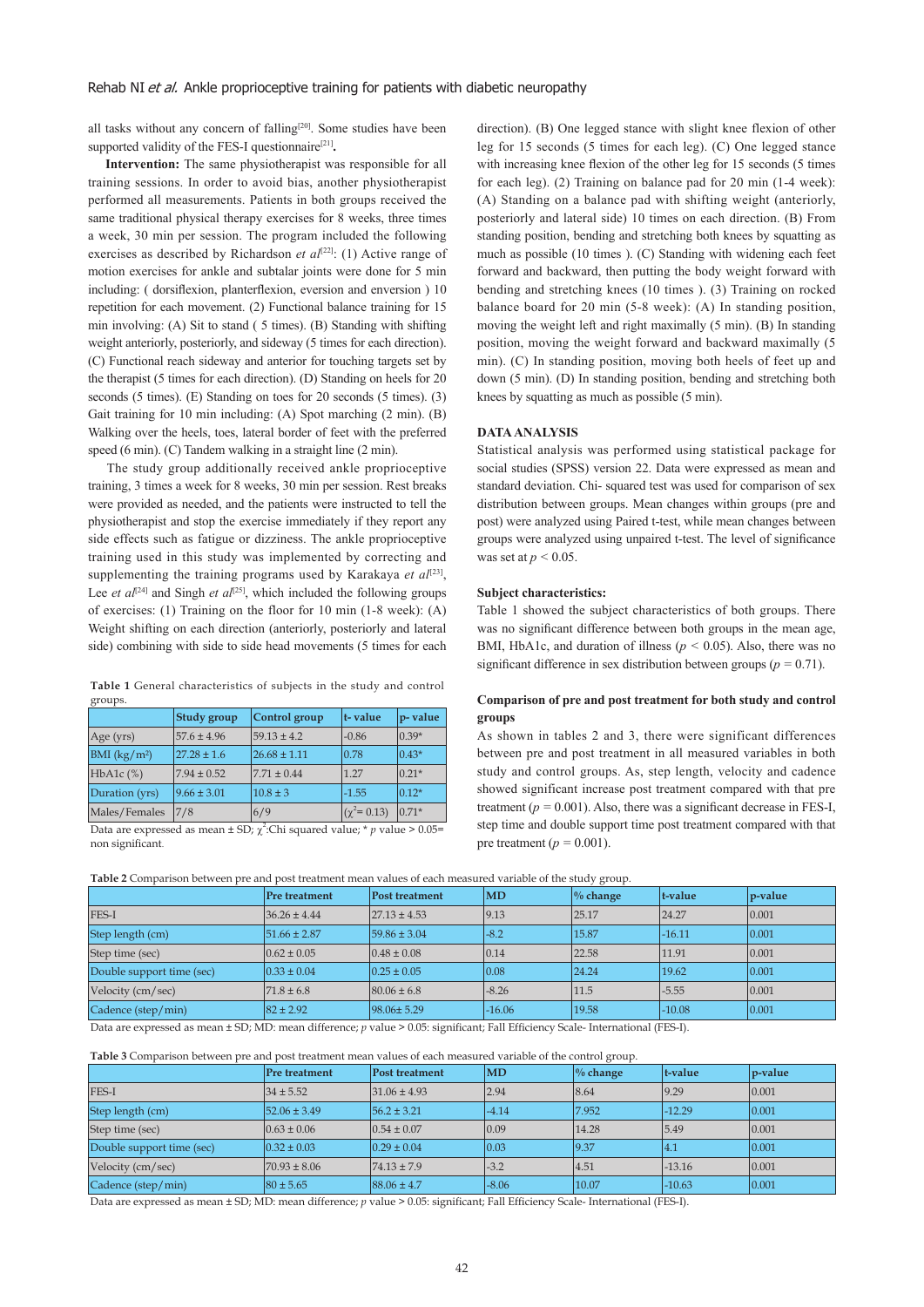all tasks without any concern of falling<sup>[20]</sup>. Some studies have been supported validity of the FES-I questionnaire<sup>[21]</sup>.

 **Intervention:** The same physiotherapist was responsible for all training sessions. In order to avoid bias, another physiotherapist performed all measurements. Patients in both groups received the same traditional physical therapy exercises for 8 weeks, three times a week, 30 min per session. The program included the following exercises as described by Richardson *et al*<sup>[22]</sup>: (1) Active range of motion exercises for ankle and subtalar joints were done for 5 min including: ( dorsiflexion, planterflexion, eversion and enversion ) 10 repetition for each movement. (2) Functional balance training for 15 min involving: (A) Sit to stand ( 5 times). (B) Standing with shifting weight anteriorly, posteriorly, and sideway (5 times for each direction). (C) Functional reach sideway and anterior for touching targets set by the therapist (5 times for each direction). (D) Standing on heels for 20 seconds (5 times). (E) Standing on toes for 20 seconds (5 times). (3) Gait training for 10 min including: (A) Spot marching (2 min). (B) Walking over the heels, toes, lateral border of feet with the preferred speed (6 min). (C) Tandem walking in a straight line (2 min).

 The study group additionally received ankle proprioceptive training, 3 times a week for 8 weeks, 30 min per session. Rest breaks were provided as needed, and the patients were instructed to tell the physiotherapist and stop the exercise immediately if they report any side effects such as fatigue or dizziness. The ankle proprioceptive training used in this study was implemented by correcting and supplementing the training programs used by Karakaya *et al*<sup>[23]</sup>, Lee *et al*<sup>[24]</sup> and Singh *et al*<sup>[25]</sup>, which included the following groups of exercises: (1) Training on the floor for 10 min (1-8 week): (A) Weight shifting on each direction (anteriorly, posteriorly and lateral side) combining with side to side head movements (5 times for each

**Table 1** General characteristics of subjects in the study and control groups.

|                | Study group     | Control group    | t-value             | $p$ -value |
|----------------|-----------------|------------------|---------------------|------------|
| Age (yrs)      | $57.6 \pm 4.96$ | $59.13 \pm 4.2$  | $-0.86$             | $0.39*$    |
| BMI $(kg/m2)$  | $27.28 \pm 1.6$ | $26.68 \pm 1.11$ | 0.78                | $0.43*$    |
| $HbA1c$ $%$    | $7.94 \pm 0.52$ | $7.71 \pm 0.44$  | 1.27                | $0.21*$    |
| Duration (yrs) | $9.66 \pm 3.01$ | $10.8 \pm 3$     | $-1.55$             | $0.12*$    |
| Males/Females  | 7/8             | 6/9              | $(\gamma^2 = 0.13)$ | $0.71*$    |

Data are expressed as mean  $\pm$  SD;  $\chi^2$ :Chi squared value; \* *p* value > 0.05= non significant.

direction). (B) One legged stance with slight knee flexion of other leg for 15 seconds (5 times for each leg). (C) One legged stance with increasing knee flexion of the other leg for 15 seconds (5 times) for each leg). (2) Training on balance pad for 20 min (1-4 week): (A) Standing on a balance pad with shifting weight (anteriorly, posteriorly and lateral side) 10 times on each direction. (B) From standing position, bending and stretching both knees by squatting as much as possible (10 times ). (C) Standing with widening each feet forward and backward, then putting the body weight forward with bending and stretching knees (10 times ). (3) Training on rocked balance board for 20 min (5-8 week): (A) In standing position, moving the weight left and right maximally (5 min). (B) In standing position, moving the weight forward and backward maximally (5 min). (C) In standing position, moving both heels of feet up and down (5 min). (D) In standing position, bending and stretching both knees by squatting as much as possible (5 min).

### **DATA ANALYSIS**

Statistical analysis was performed using statistical package for social studies (SPSS) version 22. Data were expressed as mean and standard deviation. Chi- squared test was used for comparison of sex distribution between groups. Mean changes within groups (pre and post) were analyzed using Paired t-test, while mean changes between groups were analyzed using unpaired t-test. The level of significance was set at  $p < 0.05$ .

#### **Subject characteristics:**

Table 1 showed the subject characteristics of both groups. There was no significant difference between both groups in the mean age, BMI, HbA1c, and duration of illness ( $p < 0.05$ ). Also, there was no significant difference in sex distribution between groups ( $p = 0.71$ ).

### **Comparison of pre and post treatment for both study and control groups**

As shown in tables 2 and 3, there were significant differences between pre and post treatment in all measured variables in both study and control groups. As, step length, velocity and cadence showed significant increase post treatment compared with that pre treatment ( $p = 0.001$ ). Also, there was a significant decrease in FES-I, step time and double support time post treatment compared with that pre treatment ( $p = 0.001$ ).

| Table 2 Comparison between pre and post treatment mean values of each measured variable of the study group. |  |  |  |  |  |  |
|-------------------------------------------------------------------------------------------------------------|--|--|--|--|--|--|
|-------------------------------------------------------------------------------------------------------------|--|--|--|--|--|--|

|                           |                      |                  |                        | .                    |          |         |
|---------------------------|----------------------|------------------|------------------------|----------------------|----------|---------|
|                           | <b>Pre treatment</b> | Post treatment   | $\overline{\text{MD}}$ | $\frac{9}{6}$ change | t-value  | p-value |
| FES-I                     | $36.26 \pm 4.44$     | $27.13 \pm 4.53$ | 9.13                   | 25.17                | 24.27    | 0.001   |
| Step length (cm)          | $51.66 \pm 2.87$     | $59.86 \pm 3.04$ | $-8.2$                 | 15.87                | $-16.11$ | 0.001   |
| Step time (sec)           | $0.62 \pm 0.05$      | $0.48 \pm 0.08$  | 0.14                   | 22.58                | 11.91    | 0.001   |
| Double support time (sec) | $0.33 \pm 0.04$      | $0.25 \pm 0.05$  | $ 0.08\rangle$         | 24.24                | 19.62    | 0.001   |
| Velocity (cm/sec)         | $71.8 \pm 6.8$       | $80.06 \pm 6.8$  | $-8.26$                | 11.5                 | $-5.55$  | 0.001   |
| Cadence (step/min)        | $82 \pm 2.92$        | 98.06± 5.29      | $-16.06$               | 19.58                | $-10.08$ | 0.001   |

Data are expressed as mean ± SD; MD: mean difference; *p* value > 0.05: significant; Fall Efficiency Scale- International (FES-I).

**Table 3** Comparison between pre and post treatment mean values of each measured variable of the control group.

|                           | Pre treatment    | Post treatment   | $\mathbf{M}\mathbf{D}$ | $\%$ change | t-value  | p-value |
|---------------------------|------------------|------------------|------------------------|-------------|----------|---------|
| <b>FES-I</b>              | $34 \pm 5.52$    | $31.06 \pm 4.93$ | 2.94                   | 8.64        | 9.29     | 0.001   |
| Step length (cm)          | $52.06 \pm 3.49$ | $156.2 \pm 3.21$ | $-4.14$                | 7.952       | $-12.29$ | 0.001   |
| Step time (sec)           | $0.63 \pm 0.06$  | $0.54 \pm 0.07$  | 0.09                   | 14.28       | 5.49     | 0.001   |
| Double support time (sec) | $0.32 \pm 0.03$  | $0.29 \pm 0.04$  | $ 0.03\rangle$         | 9.37        | 4.1      | 0.001   |
| Velocity (cm/sec)         | $70.93 \pm 8.06$ | $74.13 \pm 7.9$  | $-3.2$                 | 4.51        | $-13.16$ | 0.001   |
| Cadence (step/min)        | $80 \pm 5.65$    | $88.06 \pm 4.7$  | $-8.06$                | 10.07       | $-10.63$ | 0.001   |

Data are expressed as mean ± SD; MD: mean difference; *p* value > 0.05: significant; Fall Efficiency Scale- International (FES-I).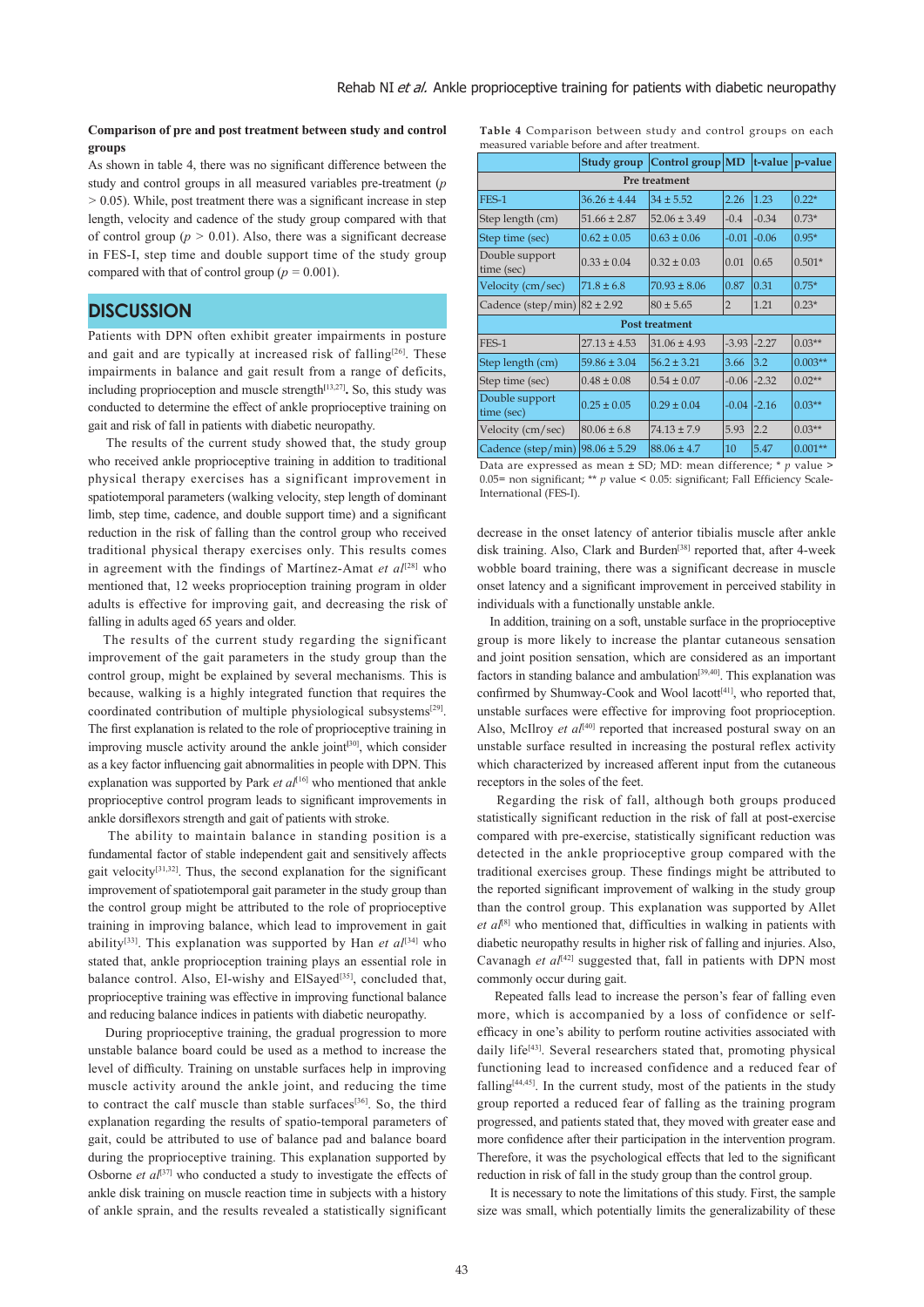### **Comparison of pre and post treatment between study and control groups**

As shown in table 4, there was no significant difference between the study and control groups in all measured variables pre-treatment (*p >* 0.05). While, post treatment there was a significant increase in step length, velocity and cadence of the study group compared with that of control group ( $p > 0.01$ ). Also, there was a significant decrease in FES-I, step time and double support time of the study group compared with that of control group ( $p = 0.001$ ).

### **DISCUSSION**

Patients with DPN often exhibit greater impairments in posture and gait and are typically at increased risk of falling<sup>[26]</sup>. These impairments in balance and gait result from a range of deficits, including proprioception and muscle strength**[**13,27]**.** So, this study was conducted to determine the effect of ankle proprioceptive training on gait and risk of fall in patients with diabetic neuropathy.

 The results of the current study showed that, the study group who received ankle proprioceptive training in addition to traditional physical therapy exercises has a significant improvement in spatiotemporal parameters (walking velocity, step length of dominant limb, step time, cadence, and double support time) and a significant reduction in the risk of falling than the control group who received traditional physical therapy exercises only. This results comes in agreement with the findings of Martínez-Amat et al<sup>[28]</sup> who mentioned that, 12 weeks proprioception training program in older adults is effective for improving gait, and decreasing the risk of falling in adults aged 65 years and older.

 The results of the current study regarding the significant improvement of the gait parameters in the study group than the control group, might be explained by several mechanisms. This is because, walking is a highly integrated function that requires the coordinated contribution of multiple physiological subsystems[29]. The first explanation is related to the role of proprioceptive training in improving muscle activity around the ankle joint**[**30], which consider as a key factor influencing gait abnormalities in people with DPN. This explanation was supported by Park *et al*<sup>[16]</sup> who mentioned that ankle proprioceptive control program leads to significant improvements in ankle dorsiflexors strength and gait of patients with stroke.

 The ability to maintain balance in standing position is a fundamental factor of stable independent gait and sensitively affects gait velocity[31,32]. Thus, the second explanation for the significant improvement of spatiotemporal gait parameter in the study group than the control group might be attributed to the role of proprioceptive training in improving balance, which lead to improvement in gait ability<sup>[33]</sup>. This explanation was supported by Han *et al*<sup>[34]</sup> who stated that, ankle proprioception training plays an essential role in balance control. Also, El-wishy and ElSayed<sup>[35]</sup>, concluded that, proprioceptive training was effective in improving functional balance and reducing balance indices in patients with diabetic neuropathy.

 During proprioceptive training, the gradual progression to more unstable balance board could be used as a method to increase the level of difficulty. Training on unstable surfaces help in improving muscle activity around the ankle joint, and reducing the time to contract the calf muscle than stable surfaces<sup>[36]</sup>. So, the third explanation regarding the results of spatio-temporal parameters of gait, could be attributed to use of balance pad and balance board during the proprioceptive training. This explanation supported by Osborne *et al*<sup>[37]</sup> who conducted a study to investigate the effects of ankle disk training on muscle reaction time in subjects with a history of ankle sprain, and the results revealed a statistically significant

| Table 4 Comparison between study and control groups on each |  |  |  |
|-------------------------------------------------------------|--|--|--|
| measured variable before and after treatment.               |  |  |  |

|                                                                       | Study group      | Control group $MD$ |                |                            | $t$ -value $p$ -value |  |  |
|-----------------------------------------------------------------------|------------------|--------------------|----------------|----------------------------|-----------------------|--|--|
| Pre treatment                                                         |                  |                    |                |                            |                       |  |  |
| FES-1                                                                 | $36.26 \pm 4.44$ | $34 \pm 5.52$      | 2.26           | 1.23                       | $0.22*$               |  |  |
| Step length (cm)                                                      | $51.66 \pm 2.87$ | $52.06 \pm 3.49$   | $-0.4$         | $-0.34$                    | $0.73*$               |  |  |
| Step time (sec)                                                       | $0.62 \pm 0.05$  | $0.63 \pm 0.06$    | $-0.01$        | $-0.06$                    | $0.95*$               |  |  |
| Double support<br>time (sec)                                          | $0.33 \pm 0.04$  | $0.32 \pm 0.03$    | 0.01           | 0.65                       | $0.501*$              |  |  |
| Velocity (cm/sec)                                                     | $71.8 \pm 6.8$   | $70.93 \pm 8.06$   | 0.87           | 0.31                       | $0.75*$               |  |  |
| Cadence (step/min) $ 82 \pm 2.92$                                     |                  | $80 \pm 5.65$      | $\overline{2}$ | 1.21                       | $0.23*$               |  |  |
| <b>Post treatment</b>                                                 |                  |                    |                |                            |                       |  |  |
| FES-1                                                                 | $27.13 \pm 4.53$ | $31.06 \pm 4.93$   | $-3.93$        | $-2.27$                    | $0.03**$              |  |  |
| Step length (cm)                                                      | $59.86 \pm 3.04$ | $56.2 \pm 3.21$    | 3.66           | 3.2                        | $0.003**$             |  |  |
| Step time (sec)                                                       | $0.48 \pm 0.08$  | $0.54 \pm 0.07$    | $-0.06$        | $-2.32$                    | $0.02**$              |  |  |
| Double support<br>time (sec)                                          | $0.25 \pm 0.05$  | $0.29 \pm 0.04$    | $-0.04$        | $-2.16$                    | $0.03**$              |  |  |
| Velocity (cm/sec)                                                     | $80.06 \pm 6.8$  | $74.13 \pm 7.9$    | 5.93           | 2.2                        | $0.03**$              |  |  |
| Cadence (step/min) $ 98.06 \pm 5.29$<br>$P_{1}$ $(1)$ $(2P_{1}M_{2})$ |                  | $88.06 \pm 4.7$    | 10             | 5.47<br>$1.77$ $4$ $1$ $2$ | $0.001**$             |  |  |

Data are expressed as mean ± SD; MD: mean difference; \* *p* value > 0.05= non significant; \*\* *p* value < 0.05: significant; Fall Efficiency Scale-International (FES-I).

decrease in the onset latency of anterior tibialis muscle after ankle disk training. Also, Clark and Burden<sup>[38]</sup> reported that, after 4-week wobble board training, there was a significant decrease in muscle onset latency and a significant improvement in perceived stability in individuals with a functionally unstable ankle.

 In addition, training on a soft, unstable surface in the proprioceptive group is more likely to increase the plantar cutaneous sensation and joint position sensation, which are considered as an important factors in standing balance and ambulation<sup>[39,40]</sup>. This explanation was confirmed by Shumway-Cook and Wool lacott<sup>[41]</sup>, who reported that, unstable surfaces were effective for improving foot proprioception. Also, McIlroy *et al*<sup>[40]</sup> reported that increased postural sway on an unstable surface resulted in increasing the postural reflex activity which characterized by increased afferent input from the cutaneous receptors in the soles of the feet.

 Regarding the risk of fall, although both groups produced statistically significant reduction in the risk of fall at post-exercise compared with pre-exercise, statistically significant reduction was detected in the ankle proprioceptive group compared with the traditional exercises group. These findings might be attributed to the reported significant improvement of walking in the study group than the control group. This explanation was supported by Allet *et al*[8] who mentioned that, difficulties in walking in patients with diabetic neuropathy results in higher risk of falling and injuries. Also, Cavanagh *et al*<sup>[42]</sup> suggested that, fall in patients with DPN most commonly occur during gait.

 Repeated falls lead to increase the person's fear of falling even more, which is accompanied by a loss of confidence or selfefficacy in one's ability to perform routine activities associated with daily life<sup>[43]</sup>. Several researchers stated that, promoting physical functioning lead to increased confidence and a reduced fear of falling<sup>[44,45]</sup>. In the current study, most of the patients in the study group reported a reduced fear of falling as the training program progressed, and patients stated that, they moved with greater ease and more confidence after their participation in the intervention program. Therefore, it was the psychological effects that led to the significant reduction in risk of fall in the study group than the control group.

 It is necessary to note the limitations of this study. First, the sample size was small, which potentially limits the generalizability of these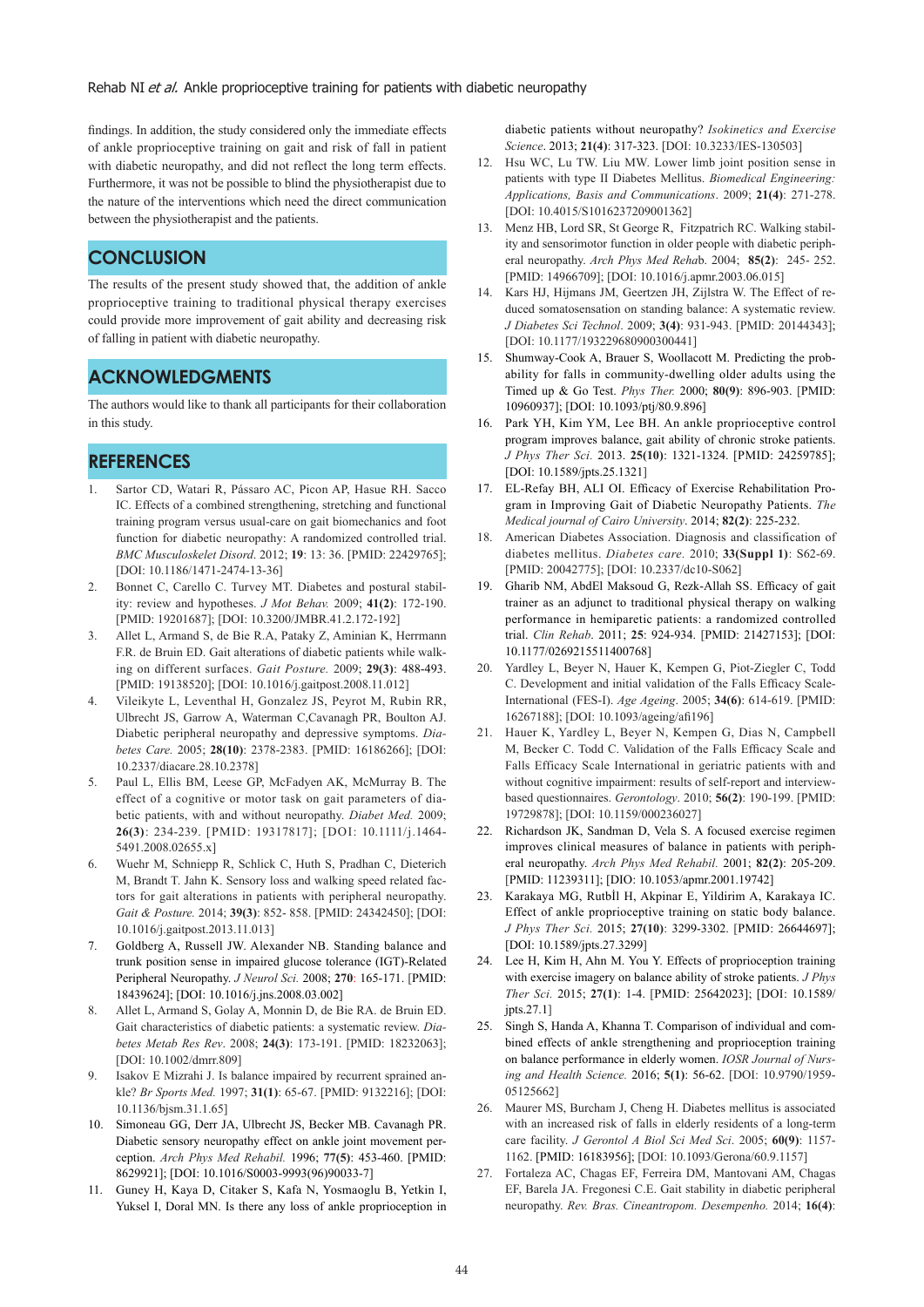findings. In addition, the study considered only the immediate effects of ankle proprioceptive training on gait and risk of fall in patient with diabetic neuropathy, and did not reflect the long term effects. Furthermore, it was not be possible to blind the physiotherapist due to the nature of the interventions which need the direct communication between the physiotherapist and the patients.

# **CONCLUSION**

The results of the present study showed that, the addition of ankle proprioceptive training to traditional physical therapy exercises could provide more improvement of gait ability and decreasing risk of falling in patient with diabetic neuropathy.

# **ACKNOWLEDGMENTS**

The authors would like to thank all participants for their collaboration in this study.

# **REFERENCES**

- 1. Sartor CD, Watari R, Pássaro AC, Picon AP, Hasue RH. Sacco IC. Effects of a combined strengthening, stretching and functional training program versus usual-care on gait biomechanics and foot function for diabetic neuropathy: A randomized controlled trial. *BMC Musculoskelet Disord*. 2012; **19**: 13: 36. [PMID: 22429765]; [DOI: 10.1186/1471-2474-13-36]
- 2. Bonnet C, Carello C. Turvey MT. Diabetes and postural stability: review and hypotheses. *J Mot Behav.* 2009; **41(2)**: 172-190. [PMID: 19201687]; [DOI: 10.3200/JMBR.41.2.172-192]
- 3. Allet L, Armand S, de Bie R.A, Pataky Z, Aminian K, Herrmann F.R. de Bruin ED. Gait alterations of diabetic patients while walking on different surfaces. *Gait Posture.* 2009; **29(3)**: 488-493. [PMID: 19138520]; [DOI: 10.1016/j.gaitpost.2008.11.012]
- 4. Vileikyte L, Leventhal H, Gonzalez JS, Peyrot M, Rubin RR, Ulbrecht JS, Garrow A, Waterman C,Cavanagh PR, Boulton AJ. Diabetic peripheral neuropathy and depressive symptoms. *Diabetes Care.* 2005; **28(10)**: 2378-2383. [PMID: 16186266]; [DOI: 10.2337/diacare.28.10.2378]
- 5. Paul L, Ellis BM, Leese GP, McFadyen AK, McMurray B. The effect of a cognitive or motor task on gait parameters of diabetic patients, with and without neuropathy. *Diabet Med.* 2009; **26(3)**: 234-239. [PMID: 19317817]; [DOI: 10.1111/j.1464- 5491.2008.02655.x]
- 6. Wuehr M, Schniepp R, Schlick C, Huth S, Pradhan C, Dieterich M, Brandt T. Jahn K. Sensory loss and walking speed related factors for gait alterations in patients with peripheral neuropathy. *Gait & Posture.* 2014; **39(3)**: 852- 858. [PMID: 24342450]; [DOI: 10.1016/j.gaitpost.2013.11.013]
- 7. Goldberg A, Russell JW. Alexander NB. Standing balance and trunk position sense in impaired glucose tolerance (IGT)-Related Peripheral Neuropathy. *J Neurol Sci.* 2008; **270**: 165-171. [PMID: 18439624]; [DOI: 10.1016/j.jns.2008.03.002]
- 8. Allet L, Armand S, Golay A, Monnin D, de Bie RA. de Bruin ED. Gait characteristics of diabetic patients: a systematic review. *Diabetes Metab Res Rev*. 2008; **24(3)**: 173-191. [PMID: 18232063]; [DOI: 10.1002/dmrr.809]
- Isakov E Mizrahi J. Is balance impaired by recurrent sprained ankle? *Br Sports Med.* 1997; **31(1)**: 65-67. [PMID: 9132216]; [DOI: 10.1136/bjsm.31.1.65]
- 10. Simoneau GG, Derr JA, Ulbrecht JS, Becker MB. Cavanagh PR. Diabetic sensory neuropathy effect on ankle joint movement perception. *Arch Phys Med Rehabil.* 1996; **77(5)**: 453-460. [PMID: 8629921]; [DOI: 10.1016/S0003-9993(96)90033-7]
- 11. Guney H, Kaya D, Citaker S, Kafa N, Yosmaoglu B, Yetkin I, Yuksel I, Doral MN. Is there any loss of ankle proprioception in

diabetic patients without neuropathy? *Isokinetics and Exercise Science*. 2013; **21(4)**: 317-323. [DOI: 10.3233/IES-130503]

- 12. Hsu WC, Lu TW. Liu MW. Lower limb joint position sense in patients with type II Diabetes Mellitus. *Biomedical Engineering: Applications, Basis and Communications*. 2009; **21(4)**: 271-278. [DOI: 10.4015/S1016237209001362]
- 13. Menz HB, Lord SR, St George R, Fitzpatrich RC. Walking stability and sensorimotor function in older people with diabetic peripheral neuropathy. *Arch Phys Med Reha*b. 2004; **85(2)**: 245- 252. [PMID: 14966709]; [DOI: 10.1016/j.apmr.2003.06.015]
- 14. Kars HJ, Hijmans JM, Geertzen JH, Zijlstra W. The Effect of reduced somatosensation on standing balance: A systematic review. *J Diabetes Sci Technol*. 2009; **3(4)**: 931-943. [PMID: 20144343]; [DOI: 10.1177/193229680900300441]
- 15. Shumway-Cook A, Brauer S, Woollacott M. Predicting the probability for falls in community-dwelling older adults using the Timed up & Go Test. *Phys Ther.* 2000; **80(9)**: 896-903. [PMID: 10960937]; [DOI: 10.1093/ptj/80.9.896]
- 16. Park YH, Kim YM, Lee BH. An ankle proprioceptive control program improves balance, gait ability of chronic stroke patients. *J Phys Ther Sci.* 2013. **25(10)**: 1321-1324. [PMID: 24259785]; [DOI: 10.1589/jpts.25.1321]
- 17. EL-Refay BH, ALI OI. Efficacy of Exercise Rehabilitation Program in Improving Gait of Diabetic Neuropathy Patients. *The Medical journal of Cairo University*. 2014; **82(2)**: 225-232.
- 18. American Diabetes Association. Diagnosis and classification of diabetes mellitus. *Diabetes care.* 2010; **33(Suppl 1)**: S62-69. [PMID: 20042775]; [DOI: 10.2337/dc10-S062]
- 19. Gharib NM, AbdEl Maksoud G, Rezk-Allah SS. Efficacy of gait trainer as an adjunct to traditional physical therapy on walking performance in hemiparetic patients: a randomized controlled trial. *Clin Rehab*. 2011; **25**: 924-934. [PMID: 21427153]; [DOI: 10.1177/0269215511400768]
- 20. Yardley L, Beyer N, Hauer K, Kempen G, Piot-Ziegler C, Todd C. Development and initial validation of the Falls Efficacy Scale-International (FES-I). *Age Ageing*. 2005; **34(6)**: 614-619. [PMID: 16267188]; [DOI: 10.1093/ageing/afi196]
- 21. Hauer K, Yardley L, Beyer N, Kempen G, Dias N, Campbell M, Becker C. Todd C. Validation of the Falls Efficacy Scale and Falls Efficacy Scale International in geriatric patients with and without cognitive impairment: results of self-report and interviewbased questionnaires. *Gerontology*. 2010; **56(2)**: 190-199. [PMID: 19729878]; [DOI: 10.1159/000236027]
- 22. Richardson JK, Sandman D, Vela S. A focused exercise regimen improves clinical measures of balance in patients with peripheral neuropathy. *Arch Phys Med Rehabil.* 2001; **82(2)**: 205-209. [PMID: 11239311]; [DIO: 10.1053/apmr.2001.19742]
- 23. Karakaya MG, Rutbİl H, Akpinar E, Yildirim A, Karakaya IC. Effect of ankle proprioceptive training on static body balance. *J Phys Ther Sci.* 2015; **27(10)**: 3299-3302. [PMID: 26644697]; [DOI: 10.1589/jpts.27.3299]
- 24. Lee H, Kim H, Ahn M. You Y. Effects of proprioception training with exercise imagery on balance ability of stroke patients. *J Phys Ther Sci.* 2015; **27(1)**: 1-4. [PMID: 25642023]; [DOI: 10.1589/ jpts.27.1]
- 25. Singh S, Handa A, Khanna T. Comparison of individual and combined effects of ankle strengthening and proprioception training on balance performance in elderly women. *IOSR Journal of Nursing and Health Science.* 2016; **5(1)**: 56-62. [DOI: 10.9790/1959- 05125662]
- 26. Maurer MS, Burcham J, Cheng H. Diabetes mellitus is associated with an increased risk of falls in elderly residents of a long-term care facility. *J Gerontol A Biol Sci Med Sci*. 2005; **60(9)**: 1157- 1162. [PMID: 16183956]; [DOI: 10.1093/Gerona/60.9.1157]
- 27. Fortaleza AC, Chagas EF, Ferreira DM, Mantovani AM, Chagas EF, Barela JA. Fregonesi C.E. Gait stability in diabetic peripheral neuropathy. *Rev. Bras. Cineantropom. Desempenho.* 2014; **16(4)**: